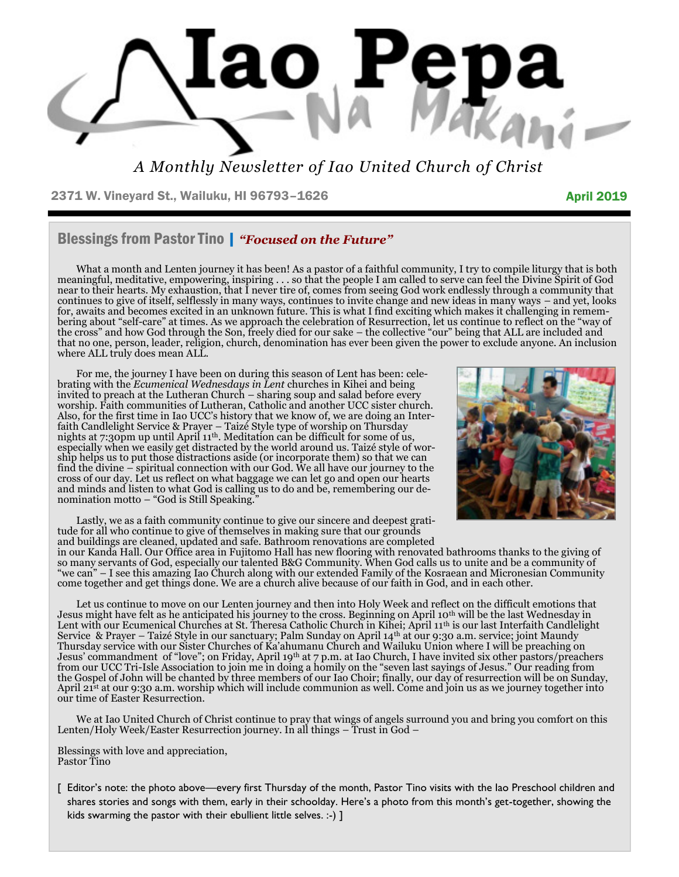

*A Monthly Newsletter of Iao United Church of Christ*

2371 W. Vineyard St., Wailuku, HI 96793-1626 April 2019

### Blessings from Pastor Tino | *"Focused on the Future"*

What a month and Lenten journey it has been! As a pastor of a faithful community, I try to compile liturgy that is both meaningful, meditative, empowering, inspiring . . . so that the people I am called to serve can feel the Divine Spirit of God near to their hearts. My exhaustion, that I never tire of, comes from seeing God work endlessly through a community that continues to give of itself, selflessly in many ways, continues to invite change and new ideas in many ways – and yet, looks for, awaits and becomes excited in an unknown future. This is what I find exciting which makes it challenging in remembering about "self-care" at times. As we approach the celebration of Resurrection, let us continue to reflect on the "way of the cross" and how God through the Son, freely died for our sake – the collective "our" being that ALL are included and that no one, person, leader, religion, church, denomination has ever been given the power to exclude anyone. An inclusion where ALL truly does mean ALL.

For me, the journey I have been on during this season of Lent has been: celebrating with the *Ecumenical Wednesdays in Lent* churches in Kihei and being invited to preach at the Lutheran Church – sharing soup and salad before every worship. Faith communities of Lutheran, Catholic and another UCC sister church. Also, for the first time in Iao UCC's history that we know of, we are doing an Interfaith Candlelight Service & Prayer – Taizé Style type of worship on Thursday nights at 7:30pm up until April 11th. Meditation can be difficult for some of us, especially when we easily get distracted by the world around us. Taizé style of worship helps us to put those distractions aside (or incorporate them) so that we can find the divine – spiritual connection with our God. We all have our journey to the cross of our day. Let us reflect on what baggage we can let go and open our hearts and minds and listen to what God is calling us to do and be, remembering our denomination motto – "God is Still Speaking."



Lastly, we as a faith community continue to give our sincere and deepest gratitude for all who continue to give of themselves in making sure that our grounds and buildings are cleaned, updated and safe. Bathroom renovations are completed

in our Kanda Hall. Our Office area in Fujitomo Hall has new flooring with renovated bathrooms thanks to the giving of so many servants of God, especially our talented B&G Community. When God calls us to unite and be a community of "we can" – I see this amazing Iao Church along with our extended Family of the Kosraean and Micronesian Community come together and get things done. We are a church alive because of our faith in God, and in each other.

Let us continue to move on our Lenten journey and then into Holy Week and reflect on the difficult emotions that Jesus might have felt as he anticipated his journey to the cross. Beginning on April 10th will be the last Wednesday in Lent with our Ecumenical Churches at St. Theresa Catholic Church in Kihei; April 11th is our last Interfaith Candlelight Service & Prayer – Taizé Style in our sanctuary; Palm Sunday on April 14th at our 9:30 a.m. service; joint Maundy Thursday service with our Sister Churches of Ka'ahumanu Church and Wailuku Union where I will be preaching on Jesus' commandment of "love"; on Friday, April 19th at 7 p.m. at Iao Church, I have invited six other pastors/preachers from our UCC Tri-Isle Association to join me in doing a homily on the "seven last sayings of Jesus." Our reading from the Gospel of John will be chanted by three members of our Iao Choir; finally, our day of resurrection will be on Sunday, April 21<sup>st</sup> at our 9:30 a.m. worship which will include communion as well. Come and join us as we journey together into our time of Easter Resurrection.

We at Iao United Church of Christ continue to pray that wings of angels surround you and bring you comfort on this Lenten/Holy Week/Easter Resurrection journey. In all things – Trust in God –

Blessings with love and appreciation, Pastor Tino

[ Editor's note: the photo above—every first Thursday of the month, Pastor Tino visits with the Iao Preschool children and shares stories and songs with them, early in their schoolday. Here's a photo from this month's get-together, showing the kids swarming the pastor with their ebullient little selves. :-) ]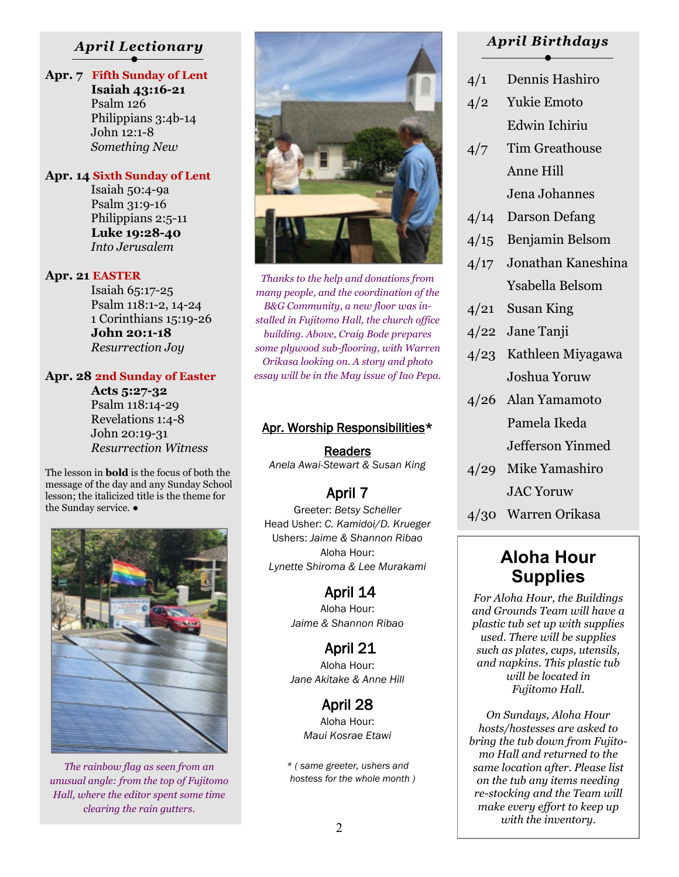#### *April Lectionary*

## **Apr. 7 Fifth Sunday of Lent**

 **Isaiah 43:16-21** Psalm 126 Philippians 3:4b-14 John 12:1-8 *Something New*

#### **Apr. 14 Sixth Sunday of Lent**

 Isaiah 50:4-9a Psalm 31:9-16 Philippians 2:5-11  **Luke 19:28-40** *Into Jerusalem*

#### **Apr. 21 EASTER**

 Isaiah 65:17-25 Psalm 118:1-2, 14-24 1 Corinthians 15:19-26  **John 20:1-18** *Resurrection Joy*

#### **Apr. 28 2nd Sunday of Easter**

 **Acts 5:27-32** Psalm 118:14-29 Revelations 1:4-8 John 20:19-31 *Resurrection Witness*

The lesson in **bold** is the focus of both the message of the day and any Sunday School lesson; the italicized title is the theme for the Sunday service. ●



*The rainbow flag as seen from an unusual angle: from the top of Fujitomo Hall, where the editor spent some time clearing the rain gutters.*



*Thanks to the help and donations from many people, and the coordination of the B&G Community, a new floor was installed in Fujitomo Hall, the church office building. Above, Craig Bode prepares some plywood sub-flooring, with Warren Orikasa looking on. A story and photo essay will be in the May issue of Iao Pepa.*

#### Apr. Worship Responsibilities\*

**Readers** *Anela Awai-Stewart & Susan King* 

### April 7

Greeter: *Betsy Scheller* Head Usher: *C. Kamidoi/D. Krueger*  Ushers: *Jaime & Shannon Ribao* Aloha Hour: *Lynette Shiroma & Lee Murakami* 

> April 14 Aloha Hour: *Jaime & Shannon Ribao*

> April 21 Aloha Hour: *Jane Akitake & Anne Hill*

> > April 28 Aloha Hour: *Maui Kosrae Etawi*

*\* ( same greeter, ushers and hostess for the whole month )* 

#### *April Birthdays*

- 4/1 Dennis Hashiro
- 4/2 Yukie Emoto Edwin Ichiriu
- 4/7 Tim Greathouse Anne Hill Jena Johannes
- 4/14 Darson Defang
- 4/15 Benjamin Belsom
- 4/17 Jonathan Kaneshina Ysabella Belsom
- 4/21 Susan King
- 4/22 Jane Tanji
- 4/23 Kathleen Miyagawa Joshua Yoruw
- 4/26 Alan Yamamoto Pamela Ikeda Jefferson Yinmed
- 4/29 Mike Yamashiro JAC Yoruw
- 4/30 Warren Orikasa

## **Aloha Hour Supplies**

*For Aloha Hour, the Buildings and Grounds Team will have a plastic tub set up with supplies used. There will be supplies such as plates, cups, utensils, and napkins. This plastic tub will be located in Fujitomo Hall.* 

*On Sundays, Aloha Hour hosts/hostesses are asked to bring the tub down from Fujitomo Hall and returned to the same location after. Please list on the tub any items needing re-stocking and the Team will make every effort to keep up with the inventory.*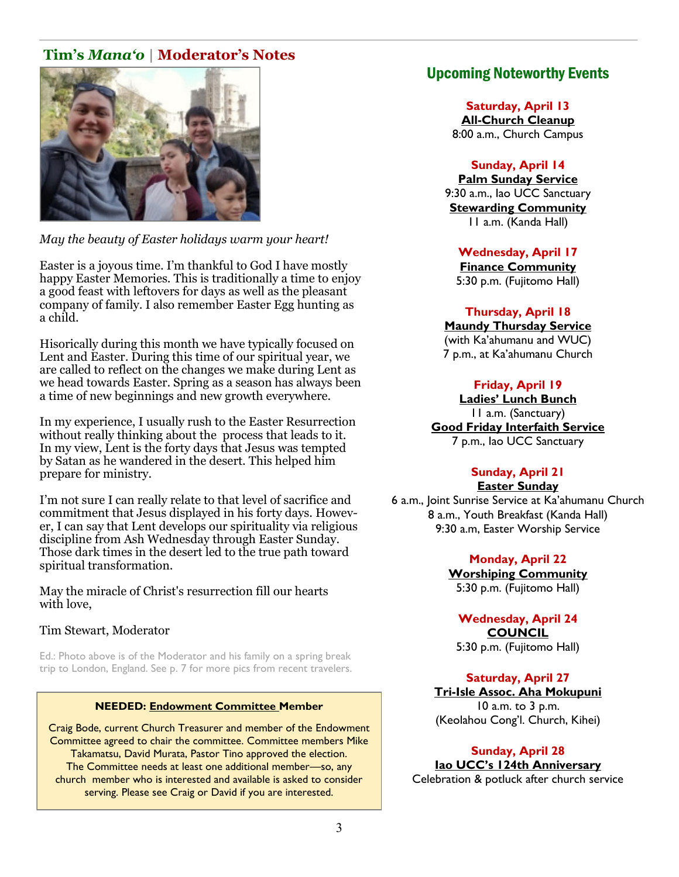## **Tim's** *Mana'o* **| Moderator's Notes**



*May the beauty of Easter holidays warm your heart!*

Easter is a joyous time. I'm thankful to God I have mostly happy Easter Memories. This is traditionally a time to enjoy a good feast with leftovers for days as well as the pleasant company of family. I also remember Easter Egg hunting as a child.

Hisorically during this month we have typically focused on Lent and Easter. During this time of our spiritual year, we are called to reflect on the changes we make during Lent as we head towards Easter. Spring as a season has always been a time of new beginnings and new growth everywhere.

In my experience, I usually rush to the Easter Resurrection without really thinking about the process that leads to it. In my view, Lent is the forty days that Jesus was tempted by Satan as he wandered in the desert. This helped him prepare for ministry.

I'm not sure I can really relate to that level of sacrifice and commitment that Jesus displayed in his forty days. However, I can say that Lent develops our spirituality via religious discipline from Ash Wednesday through Easter Sunday. Those dark times in the desert led to the true path toward spiritual transformation.

May the miracle of Christ's resurrection fill our hearts with love,

#### Tim Stewart, Moderator

Ed.: Photo above is of the Moderator and his family on a spring break trip to London, England. See p. 7 for more pics from recent travelers.

#### **NEEDED: Endowment Committee Member**

Craig Bode, current Church Treasurer and member of the Endowment Committee agreed to chair the committee. Committee members Mike Takamatsu, David Murata, Pastor Tino approved the election. The Committee needs at least one additional member—so, any church member who is interested and available is asked to consider serving. Please see Craig or David if you are interested.

### Upcoming Noteworthy Events

**Saturday, April 13 All-Church Cleanup** 8:00 a.m., Church Campus

#### **Sunday, April 14**

**Palm Sunday Service** 9:30 a.m., Iao UCC Sanctuary **Stewarding Community** 11 a.m. (Kanda Hall)

**Wednesday, April 17** 

**Finance Community** 5:30 p.m. (Fujitomo Hall)

**Thursday, April 18** 

**Maundy Thursday Service** (with Ka'ahumanu and WUC) 7 p.m., at Ka'ahumanu Church

#### **Friday, April 19**

**Ladies' Lunch Bunch** 11 a.m. (Sanctuary) **Good Friday Interfaith Service** 7 p.m., Iao UCC Sanctuary

#### **Sunday, April 21 Easter Sunday**

6 a.m., Joint Sunrise Service at Ka'ahumanu Church 8 a.m., Youth Breakfast (Kanda Hall) 9:30 a.m, Easter Worship Service

> **Monday, April 22 Worshiping Community** 5:30 p.m. (Fujitomo Hall)

**Wednesday, April 24 COUNCIL** 5:30 p.m. (Fujitomo Hall)

#### **Saturday, April 27**

**Tri-Isle Assoc. Aha Mokupuni** 10 a.m. to 3 p.m. (Keolahou Cong'l. Church, Kihei)

**Sunday, April 28 Iao UCC's 124th Anniversary** Celebration & potluck after church service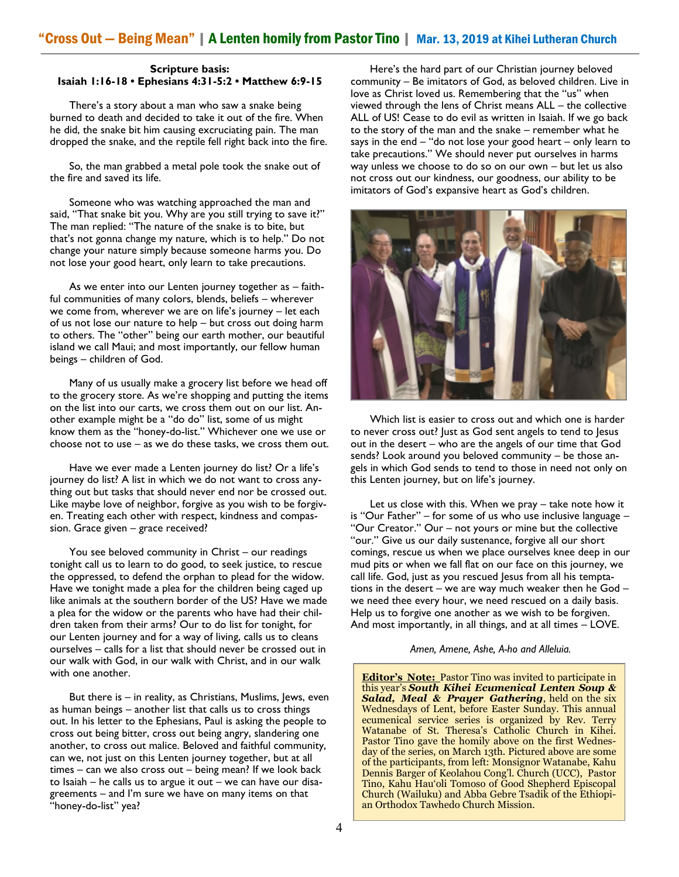#### **Scripture basis: Isaiah 1:16-18 • Ephesians 4:31-5:2 • Matthew 6:9-15**

There's a story about a man who saw a snake being burned to death and decided to take it out of the fire. When he did, the snake bit him causing excruciating pain. The man dropped the snake, and the reptile fell right back into the fire.

 So, the man grabbed a metal pole took the snake out of the fire and saved its life.

 Someone who was watching approached the man and said, "That snake bit you. Why are you still trying to save it?" The man replied: "The nature of the snake is to bite, but that's not gonna change my nature, which is to help." Do not change your nature simply because someone harms you. Do not lose your good heart, only learn to take precautions.

 As we enter into our Lenten journey together as – faithful communities of many colors, blends, beliefs – wherever we come from, wherever we are on life's journey – let each of us not lose our nature to help – but cross out doing harm to others. The "other" being our earth mother, our beautiful island we call Maui; and most importantly, our fellow human beings – children of God.

 Many of us usually make a grocery list before we head off to the grocery store. As we're shopping and putting the items on the list into our carts, we cross them out on our list. Another example might be a "do do" list, some of us might know them as the "honey-do-list." Whichever one we use or choose not to use – as we do these tasks, we cross them out.

Have we ever made a Lenten journey do list? Or a life's journey do list? A list in which we do not want to cross anything out but tasks that should never end nor be crossed out. Like maybe love of neighbor, forgive as you wish to be forgiven. Treating each other with respect, kindness and compassion. Grace given – grace received?

 You see beloved community in Christ – our readings tonight call us to learn to do good, to seek justice, to rescue the oppressed, to defend the orphan to plead for the widow. Have we tonight made a plea for the children being caged up like animals at the southern border of the US? Have we made a plea for the widow or the parents who have had their children taken from their arms? Our to do list for tonight, for our Lenten journey and for a way of living, calls us to cleans ourselves – calls for a list that should never be crossed out in our walk with God, in our walk with Christ, and in our walk with one another.

 But there is – in reality, as Christians, Muslims, Jews, even as human beings – another list that calls us to cross things out. In his letter to the Ephesians, Paul is asking the people to cross out being bitter, cross out being angry, slandering one another, to cross out malice. Beloved and faithful community, can we, not just on this Lenten journey together, but at all times – can we also cross out – being mean? If we look back to Isaiah – he calls us to argue it out – we can have our disagreements – and I'm sure we have on many items on that "honey-do-list" yea?

Here's the hard part of our Christian journey beloved community – Be imitators of God, as beloved children. Live in love as Christ loved us. Remembering that the "us" when viewed through the lens of Christ means ALL – the collective ALL of US! Cease to do evil as written in Isaiah. If we go back to the story of the man and the snake – remember what he says in the end – "do not lose your good heart – only learn to take precautions." We should never put ourselves in harms way unless we choose to do so on our own – but let us also not cross out our kindness, our goodness, our ability to be imitators of God's expansive heart as God's children.



 Which list is easier to cross out and which one is harder to never cross out? Just as God sent angels to tend to Jesus out in the desert – who are the angels of our time that God sends? Look around you beloved community – be those angels in which God sends to tend to those in need not only on this Lenten journey, but on life's journey.

 Let us close with this. When we pray – take note how it is "Our Father" – for some of us who use inclusive language – "Our Creator." Our – not yours or mine but the collective "our." Give us our daily sustenance, forgive all our short comings, rescue us when we place ourselves knee deep in our mud pits or when we fall flat on our face on this journey, we call life. God, just as you rescued Jesus from all his temptations in the desert – we are way much weaker then he God – we need thee every hour, we need rescued on a daily basis. Help us to forgive one another as we wish to be forgiven. And most importantly, in all things, and at all times – LOVE.

*Amen, Amene, Ashe, A-ho and Alleluia.* 

**Editor's Note:** Pastor Tino was invited to participate in this year's *South Kihei Ecumenical Lenten Soup & Salad, Meal & Prayer Gathering*, held on the six Wednesdays of Lent, before Easter Sunday. This annual ecumenical service series is organized by Rev. Terry Watanabe of St. Theresa's Catholic Church in Kihei. Pastor Tino gave the homily above on the first Wednesday of the series, on March 13th. Pictured above are some of the participants, from left: Monsignor Watanabe, Kahu Dennis Barger of Keolahou Cong'l. Church (UCC), Pastor Tino, Kahu Hau'oli Tomoso of Good Shepherd Episcopal Church (Wailuku) and Abba Gebre Tsadik of the Ethiopian Orthodox Tawhedo Church Mission.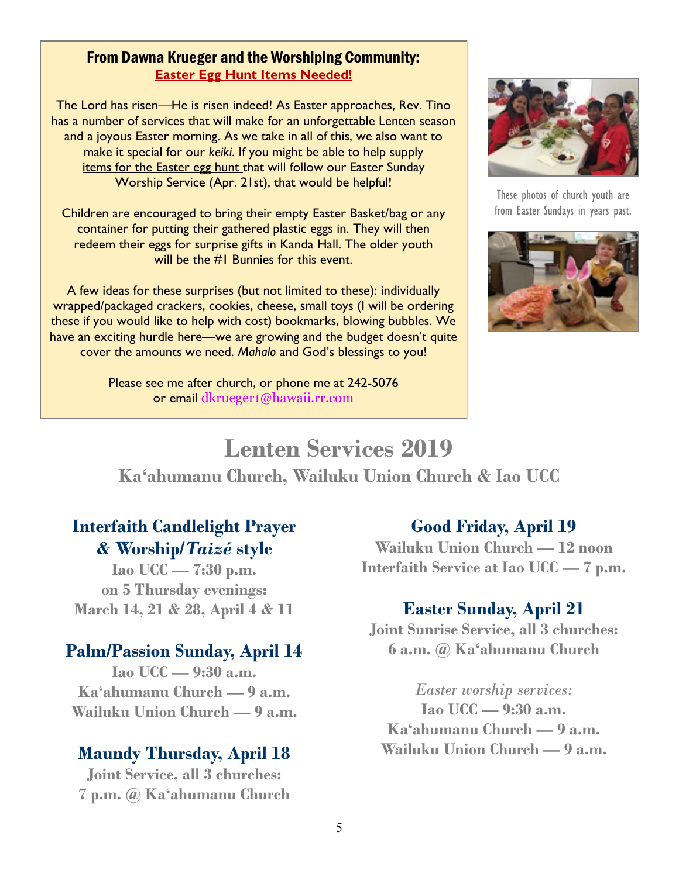#### From Dawna Krueger and the Worshiping Community: **Easter Egg Hunt Items Needed!**

The Lord has risen—He is risen indeed! As Easter approaches, Rev. Tino has a number of services that will make for an unforgettable Lenten season and a joyous Easter morning. As we take in all of this, we also want to make it special for our *keiki*. If you might be able to help supply items for the Easter egg hunt that will follow our Easter Sunday Worship Service (Apr. 21st), that would be helpful!

Children are encouraged to bring their empty Easter Basket/bag or any container for putting their gathered plastic eggs in. They will then redeem their eggs for surprise gifts in Kanda Hall. The older youth will be the #1 Bunnies for this event.

A few ideas for these surprises (but not limited to these): individually wrapped/packaged crackers, cookies, cheese, small toys (I will be ordering these if you would like to help with cost) bookmarks, blowing bubbles. We have an exciting hurdle here—we are growing and the budget doesn't quite cover the amounts we need. *Mahalo* and God's blessings to you!

> Please see me after church, or phone me at 242-5076 or email dkrueger1@hawaii.rr.com



These photos of church youth are from Easter Sundays in years past.



# **Lenten Services 2019 Ka'ahumanu Church, Wailuku Union Church & Iao UCC**

## **Interfaith Candlelight Prayer & Worship/***Taizé* **style**

**Iao UCC — 7:30 p.m. on 5 Thursday evenings: March 14, 21 & 28, April 4 & 11** 

## **Palm/Passion Sunday, April 14**

**Iao UCC — 9:30 a.m. Ka'ahumanu Church — 9 a.m. Wailuku Union Church — 9 a.m.** 

## **Maundy Thursday, April 18**

**Joint Service, all 3 churches: 7 p.m. @ Ka'ahumanu Church**

## **Good Friday, April 19**

**Wailuku Union Church — 12 noon Interfaith Service at Iao UCC — 7 p.m.** 

## **Easter Sunday, April 21**

**Joint Sunrise Service, all 3 churches: 6 a.m. @ Ka'ahumanu Church**

*Easter worship services:*  **Iao UCC — 9:30 a.m. Ka'ahumanu Church — 9 a.m. Wailuku Union Church — 9 a.m.**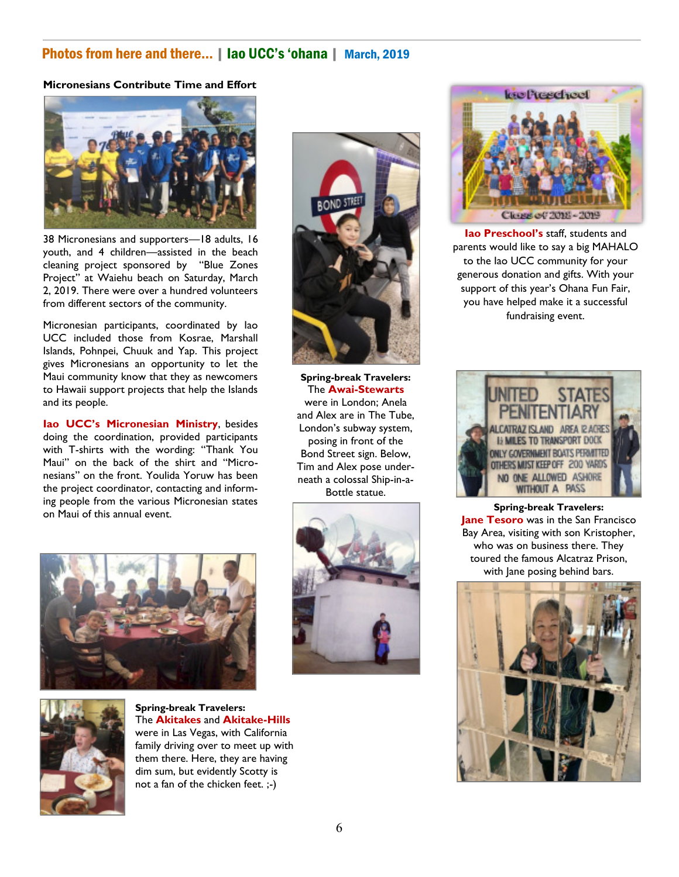#### Photos from here and there... | Iao UCC's 'ohana | March, 2019

#### **Micronesians Contribute Time and Effort**



38 Micronesians and supporters—18 adults, 16 youth, and 4 children—assisted in the beach cleaning project sponsored by "Blue Zones Project" at Waiehu beach on Saturday, March 2, 2019. There were over a hundred volunteers from different sectors of the community.

Micronesian participants, coordinated by Iao UCC included those from Kosrae, Marshall Islands, Pohnpei, Chuuk and Yap. This project gives Micronesians an opportunity to let the Maui community know that they as newcomers to Hawaii support projects that help the Islands and its people.

**Iao UCC's Micronesian Ministry**, besides doing the coordination, provided participants with T-shirts with the wording: "Thank You Maui" on the back of the shirt and "Micronesians" on the front. Youlida Yoruw has been the project coordinator, contacting and informing people from the various Micronesian states on Maui of this annual event.





**Spring-break Travelers:**  The **Akitakes** and **Akitake-Hills** were in Las Vegas, with California family driving over to meet up with them there. Here, they are having dim sum, but evidently Scotty is not a fan of the chicken feet. ;-)



**Spring-break Travelers:**  The **Awai-Stewarts**  were in London; Anela and Alex are in The Tube, London's subway system, posing in front of the Bond Street sign. Below, Tim and Alex pose underneath a colossal Ship-in-a-Bottle statue.





**Iao Preschool's** staff, students and parents would like to say a big MAHALO to the Iao UCC community for your generous donation and gifts. With your support of this year's Ohana Fun Fair, you have helped make it a successful fundraising event.



**Spring-break Travelers: Jane Tesoro** was in the San Francisco Bay Area, visiting with son Kristopher, who was on business there. They toured the famous Alcatraz Prison, with Jane posing behind bars.

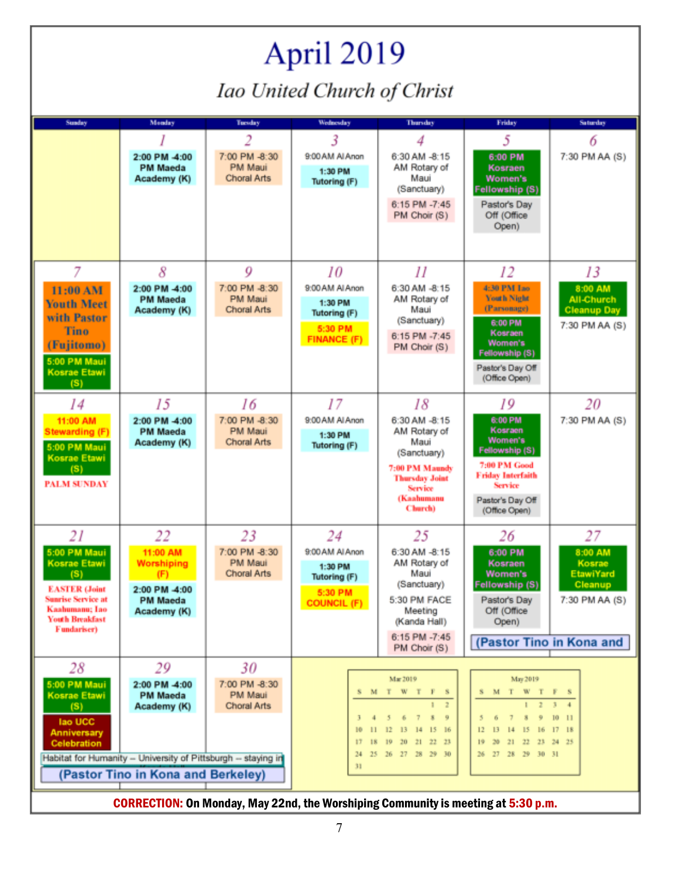# April 2019 Iao United Church of Christ

| <b>Sunday</b>                                                                                                                                                     | Monday                                                                                                                                                | Tuesday                                 | Wednesday                                                                   | Thursday                                                                                                                                                 | Friday                                                                                                                                             | Saturday                                                                                       |
|-------------------------------------------------------------------------------------------------------------------------------------------------------------------|-------------------------------------------------------------------------------------------------------------------------------------------------------|-----------------------------------------|-----------------------------------------------------------------------------|----------------------------------------------------------------------------------------------------------------------------------------------------------|----------------------------------------------------------------------------------------------------------------------------------------------------|------------------------------------------------------------------------------------------------|
|                                                                                                                                                                   |                                                                                                                                                       | 2                                       | 3                                                                           | 4                                                                                                                                                        | 5                                                                                                                                                  | 6                                                                                              |
|                                                                                                                                                                   | 2:00 PM -4:00<br><b>PM Maeda</b><br>Academy (K)                                                                                                       | 7:00 PM -8:30<br>PM Maui<br>Choral Arts | 9:00 AM AI Anon<br>1:30 PM<br>Tutoring (F)                                  | 6:30 AM -8:15<br>AM Rotary of<br>Maui<br>(Sanctuary)<br>6:15 PM -7:45<br>PM Choir (S)                                                                    | 6:00 PM<br>Kosraen<br>Women's<br>Fellowship (S)<br>Pastor's Day<br>Off (Office<br>Open)                                                            | 7:30 PM AA (S)                                                                                 |
| 7                                                                                                                                                                 | 8                                                                                                                                                     | 9                                       | 10                                                                          | 11                                                                                                                                                       | 12                                                                                                                                                 | 13                                                                                             |
| 11:00 AM<br><b>Youth Meet</b><br>with Pastor<br><b>Tino</b><br>(Fujitomo)<br>5:00 PM Maui<br><b>Kosrae Etawi</b><br>(S)                                           | 2:00 PM -4:00<br><b>PM Maeda</b><br>Academy (K)                                                                                                       | 7:00 PM -8:30<br>PM Maui<br>Choral Arts | 9:00 AM Al Anon<br>1:30 PM<br>Tutoring (F)<br>5:30 PM<br><b>FINANCE (F)</b> | 6:30 AM -8:15<br>AM Rotary of<br>Maui<br>(Sanctuary)<br>6:15 PM -7:45<br>PM Choir (S)                                                                    | 4:30 PM Iao<br><b>Youth Night</b><br>(Parsonage)<br>6:00 PM<br>Kosraen<br>Women's<br>Fellowship (S)<br>Pastor's Day Off<br>(Office Open)           | 8:00 AM<br><b>All-Church</b><br><b>Cleanup Day</b><br>7:30 PM AA (S)                           |
| 14                                                                                                                                                                | 15                                                                                                                                                    | 16                                      | 17                                                                          | 18                                                                                                                                                       | 19                                                                                                                                                 | 20                                                                                             |
| 11:00 AM<br><b>Stewarding (F)</b><br>5:00 PM Maui<br><b>Kosrae Etawi</b><br>(S)<br><b>PALM SUNDAY</b>                                                             | 2:00 PM -4:00<br><b>PM Maeda</b><br>Academy (K)                                                                                                       | 7:00 PM -8:30<br>PM Maui<br>Choral Arts | 9:00 AM Al Anon<br>1:30 PM<br>Tutoring (F)                                  | 6:30 AM -8:15<br>AM Rotary of<br>Maui<br>(Sanctuary)<br>7:00 PM Maundy<br><b>Thursday Joint</b><br>Service<br>(Kaahumanu<br>Church)                      | 6:00 PM<br>Kosraen<br>Women's<br>Fellowship (S)<br>7:00 PM Good<br><b>Friday Interfaith</b><br><b>Service</b><br>Pastor's Day Off<br>(Office Open) | 7:30 PM AA (S)                                                                                 |
| 21                                                                                                                                                                | 22                                                                                                                                                    | 23                                      | 24                                                                          | 25                                                                                                                                                       | 26                                                                                                                                                 | 27                                                                                             |
| 5:00 PM Maui<br><b>Kosrae Etawi</b><br>(S)<br><b>EASTER (Joint</b><br><b>Sunrise Service at</b><br>Kaahumanu; Iao<br><b>Youth Breakfast</b><br><b>Fundariser)</b> | 11:00 AM<br><b>Worshiping</b><br>(F)<br>2:00 PM -4:00<br><b>PM Maeda</b><br>Academy (K)                                                               | 7:00 PM -8:30<br>PM Maui<br>Choral Arts | 9:00 AM Al Anon<br>1:30 PM<br>Tutoring (F)<br>5:30 PM<br><b>COUNCIL (F)</b> | 6:30 AM -8:15<br>AM Rotary of<br>Maui<br>(Sanctuary)<br>5:30 PM FACE<br>Meeting<br>(Kanda Hall)<br>6:15 PM -7:45<br>PM Choir (S)                         | 6:00 PM<br>Kosraen<br>Women's<br><b>Fellowship (S)</b><br>Pastor's Day<br>Off (Office<br>Open)                                                     | 8:00 AM<br>Kosrae<br><b>EtawiYard</b><br>Cleanup<br>7:30 PM AA (S)<br>(Pastor Tino in Kona and |
| 28                                                                                                                                                                | 29                                                                                                                                                    | 30                                      |                                                                             |                                                                                                                                                          |                                                                                                                                                    |                                                                                                |
| 5:00 PM Maui<br><b>Kosrae Etawi</b><br>(S)<br>lao UCC<br><b>Anniversary</b><br><b>Celebration</b>                                                                 | 2:00 PM -4:00<br><b>PM Maeda</b><br>Academy (K)<br>Habitat for Humanity - University of Pittsburgh - staying in<br>(Pastor Tino in Kona and Berkeley) | 7:00 PM -8:30<br>PM Maui<br>Choral Arts | 17<br>18<br>31                                                              | Mar 2019<br>SMTWTF<br>$\overline{z}$<br>$\mathbb{I}$<br>7<br>$\mathbf{3}$<br>9<br>6<br>13<br>14<br>15<br>16<br>20 21 22 23<br>19<br>24 25 26 27 28 29 30 | May 2019<br>S M T W T F S<br>$1 \t2 \t3 \t4$<br>9<br>15<br>16<br>14<br>20 21 22 23 24 25<br>26 27 28 29 30 31                                      | 1011<br>1718                                                                                   |
| <b>CORRECTION: On Monday, May 22nd, the Worshiping Community is meeting at 5:30 p.m.</b>                                                                          |                                                                                                                                                       |                                         |                                                                             |                                                                                                                                                          |                                                                                                                                                    |                                                                                                |